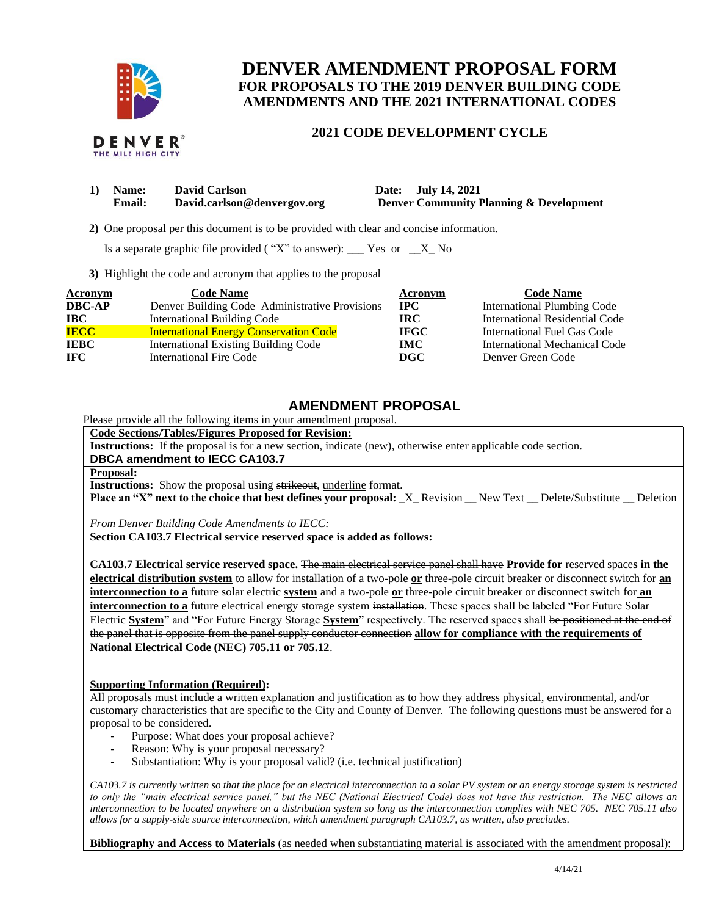

DENVER THE MILE HIGH CITY

## **DENVER AMENDMENT PROPOSAL FORM FOR PROPOSALS TO THE 2019 DENVER BUILDING CODE AMENDMENTS AND THE 2021 INTERNATIONAL CODES**

## **2021 CODE DEVELOPMENT CYCLE**

| 1) Name:      | <b>David Carlson</b>        | Date: July 14, 2021                                |  |
|---------------|-----------------------------|----------------------------------------------------|--|
| <b>Email:</b> | David.carlson@denvergov.org | <b>Denver Community Planning &amp; Development</b> |  |

 **2)** One proposal per this document is to be provided with clear and concise information.

Is a separate graphic file provided ("X" to answer): \_\_\_ Yes or  $X_N$  No

**3)** Highlight the code and acronym that applies to the proposal

| <b>Acronym</b> | <b>Code Name</b>                               | Acronym     | <b>Code Name</b>               |
|----------------|------------------------------------------------|-------------|--------------------------------|
| <b>DBC-AP</b>  | Denver Building Code–Administrative Provisions | IPC.        | International Plumbing Code    |
| $\bf IBC$      | <b>International Building Code</b>             | <b>IRC</b>  | International Residential Code |
| <b>IECC</b>    | <b>International Energy Conservation Code</b>  | <b>IFGC</b> | International Fuel Gas Code    |
| <b>IEBC</b>    | <b>International Existing Building Code</b>    | IMC.        | International Mechanical Code  |
| <b>IFC</b>     | International Fire Code                        | DGC         | Denver Green Code              |

## **AMENDMENT PROPOSAL**

Please provide all the following items in your amendment proposal.

**Code Sections/Tables/Figures Proposed for Revision:**

**Instructions:** If the proposal is for a new section, indicate (new), otherwise enter applicable code section.

**DBCA amendment to IECC CA103.7**

**Proposal:**

**Instructions:** Show the proposal using strikeout, underline format.

**Place an "X" next to the choice that best defines your proposal:**  $X$  Revision New Text Delete/Substitute Deletion

*From Denver Building Code Amendments to IECC:*

**Section CA103.7 Electrical service reserved space is added as follows:**

**CA103.7 Electrical service reserved space.** The main electrical service panel shall have **Provide for** reserved space**s in the electrical distribution system** to allow for installation of a two-pole **or** three-pole circuit breaker or disconnect switch for **an interconnection to a** future solar electric **system** and a two-pole **or** three-pole circuit breaker or disconnect switch for **an interconnection to a** future electrical energy storage system installation. These spaces shall be labeled "For Future Solar" Electric **System**" and "For Future Energy Storage **System**" respectively. The reserved spaces shall be positioned at the end of the panel that is opposite from the panel supply conductor connection **allow for compliance with the requirements of National Electrical Code (NEC) 705.11 or 705.12**.

**Supporting Information (Required):** 

All proposals must include a written explanation and justification as to how they address physical, environmental, and/or customary characteristics that are specific to the City and County of Denver. The following questions must be answered for a proposal to be considered.

- Purpose: What does your proposal achieve?
- Reason: Why is your proposal necessary?
- Substantiation: Why is your proposal valid? (i.e. technical justification)

*CA103.7 is currently written so that the place for an electrical interconnection to a solar PV system or an energy storage system is restricted to only the "main electrical service panel," but the NEC (National Electrical Code) does not have this restriction. The NEC allows an interconnection to be located anywhere on a distribution system so long as the interconnection complies with NEC 705. NEC 705.11 also allows for a supply-side source interconnection, which amendment paragraph CA103.7, as written, also precludes.*

**Bibliography and Access to Materials** (as needed when substantiating material is associated with the amendment proposal):